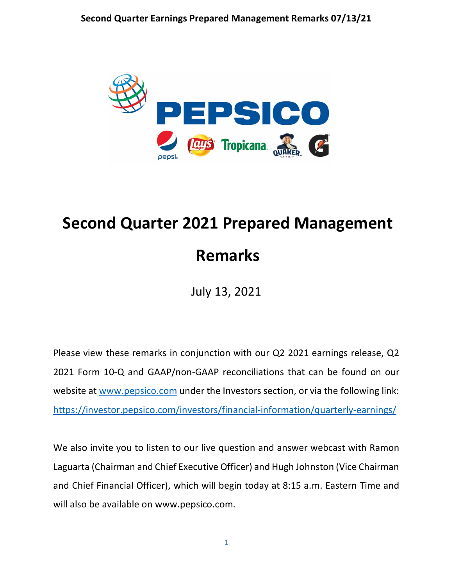

# **Second Quarter 2021 Prepared Management Remarks**

July 13, 2021

Please view these remarks in conjunction with our Q2 2021 earnings release, Q2 2021 Form 10-Q and GAAP/non-GAAP reconciliations that can be found on our website at [www.pepsico.com](http://www.pepsico.com/) under the Investors section, or via the following link: <https://investor.pepsico.com/investors/financial-information/quarterly-earnings/>

We also invite you to listen to our live question and answer webcast with Ramon Laguarta (Chairman and Chief Executive Officer) and Hugh Johnston (Vice Chairman and Chief Financial Officer), which will begin today at 8:15 a.m. Eastern Time and will also be available on www.pepsico.com.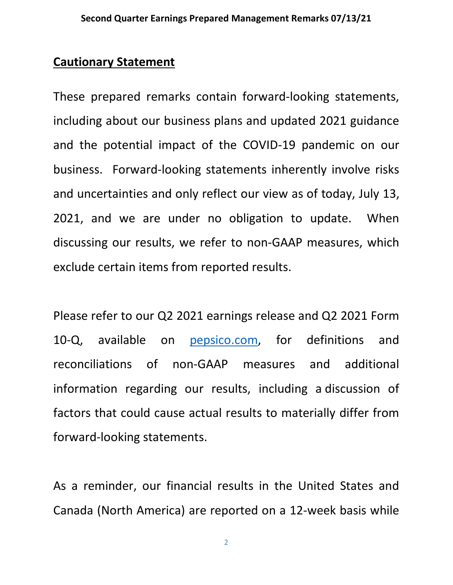#### **Cautionary Statement**

These prepared remarks contain forward-looking statements, including about our business plans and updated 2021 guidance and the potential impact of the COVID-19 pandemic on our business. Forward-looking statements inherently involve risks and uncertainties and only reflect our view as of today, July 13, 2021, and we are under no obligation to update. When discussing our results, we refer to non-GAAP measures, which exclude certain items from reported results.

Please refer to our Q2 2021 earnings release and Q2 2021 Form 10-Q, available on [pepsico.com,](http://pepsico.com/) for definitions and reconciliations of non-GAAP measures and additional information regarding our results, including a discussion of factors that could cause actual results to materially differ from forward-looking statements.

As a reminder, our financial results in the United States and Canada (North America) are reported on a 12-week basis while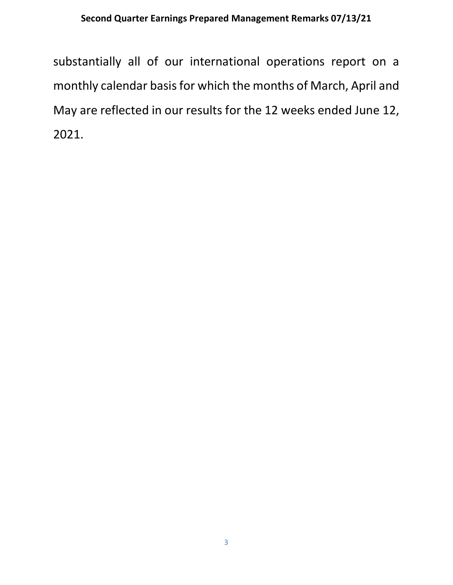#### **Second Quarter Earnings Prepared Management Remarks 07/13/21**

substantially all of our international operations report on a monthly calendar basis for which the months of March, April and May are reflected in our results for the 12 weeks ended June 12, 2021.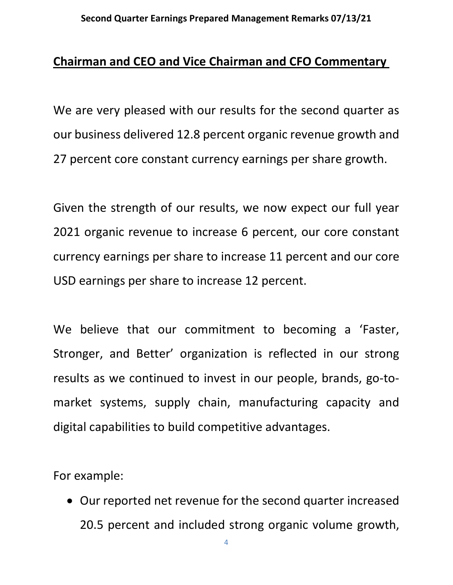## **Chairman and CEO and Vice Chairman and CFO Commentary**

We are very pleased with our results for the second quarter as our business delivered 12.8 percent organic revenue growth and 27 percent core constant currency earnings per share growth.

Given the strength of our results, we now expect our full year 2021 organic revenue to increase 6 percent, our core constant currency earnings per share to increase 11 percent and our core USD earnings per share to increase 12 percent.

We believe that our commitment to becoming a 'Faster, Stronger, and Better' organization is reflected in our strong results as we continued to invest in our people, brands, go-tomarket systems, supply chain, manufacturing capacity and digital capabilities to build competitive advantages.

For example:

• Our reported net revenue for the second quarter increased 20.5 percent and included strong organic volume growth,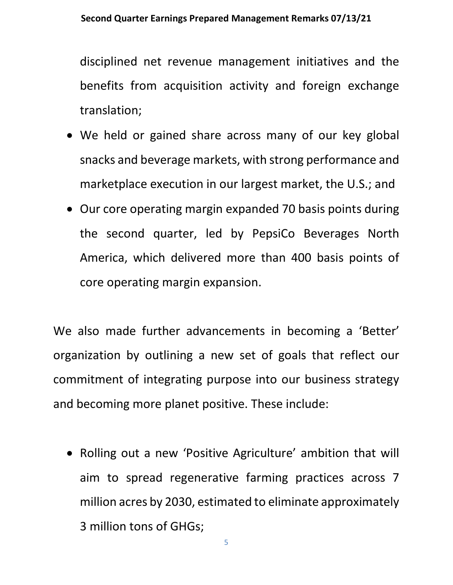disciplined net revenue management initiatives and the benefits from acquisition activity and foreign exchange translation;

- We held or gained share across many of our key global snacks and beverage markets, with strong performance and marketplace execution in our largest market, the U.S.; and
- Our core operating margin expanded 70 basis points during the second quarter, led by PepsiCo Beverages North America, which delivered more than 400 basis points of core operating margin expansion.

We also made further advancements in becoming a 'Better' organization by outlining a new set of goals that reflect our commitment of integrating purpose into our business strategy and becoming more planet positive. These include:

• Rolling out a new 'Positive Agriculture' ambition that will aim to spread regenerative farming practices across 7 million acres by 2030, estimated to eliminate approximately 3 million tons of GHGs;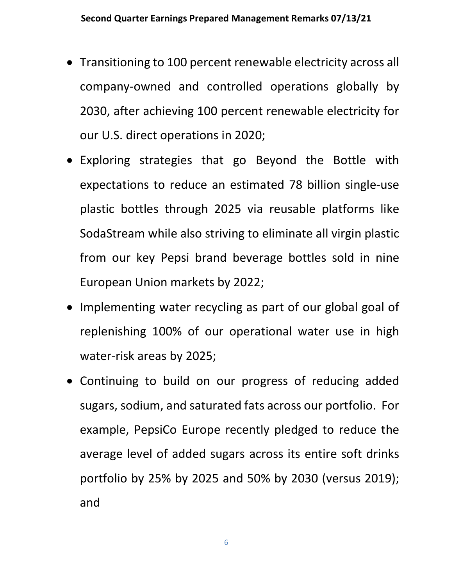- Transitioning to 100 percent renewable electricity across all company-owned and controlled operations globally by 2030, after achieving 100 percent renewable electricity for our U.S. direct operations in 2020;
- Exploring strategies that go Beyond the Bottle with expectations to reduce an estimated 78 billion single-use plastic bottles through 2025 via reusable platforms like SodaStream while also striving to eliminate all virgin plastic from our key Pepsi brand beverage bottles sold in nine European Union markets by 2022;
- Implementing water recycling as part of our global goal of replenishing 100% of our operational water use in high water-risk areas by 2025;
- Continuing to build on our progress of reducing added sugars, sodium, and saturated fats across our portfolio. For example, PepsiCo Europe recently pledged to reduce the average level of added sugars across its entire soft drinks portfolio by 25% by 2025 and 50% by 2030 (versus 2019); and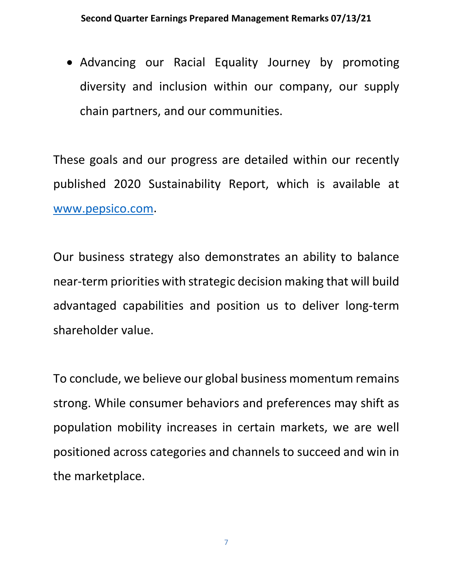• Advancing our Racial Equality Journey by promoting diversity and inclusion within our company, our supply chain partners, and our communities.

These goals and our progress are detailed within our recently published 2020 Sustainability Report, which is available at [www.pepsico.com.](http://www.pepsico.com/)

Our business strategy also demonstrates an ability to balance near-term priorities with strategic decision making that will build advantaged capabilities and position us to deliver long-term shareholder value.

To conclude, we believe our global business momentum remains strong. While consumer behaviors and preferences may shift as population mobility increases in certain markets, we are well positioned across categories and channels to succeed and win in the marketplace.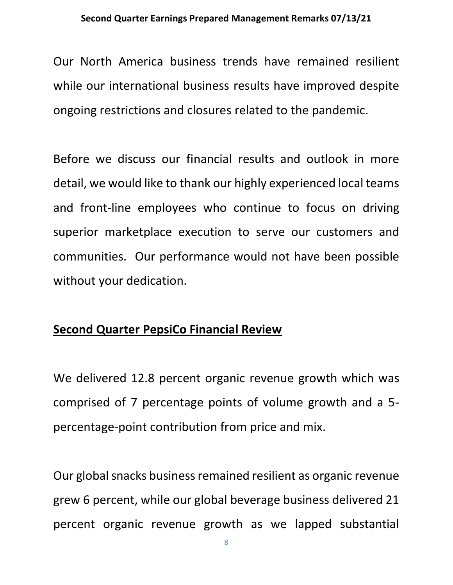#### **Second Quarter Earnings Prepared Management Remarks 07/13/21**

Our North America business trends have remained resilient while our international business results have improved despite ongoing restrictions and closures related to the pandemic.

Before we discuss our financial results and outlook in more detail, we would like to thank our highly experienced local teams and front-line employees who continue to focus on driving superior marketplace execution to serve our customers and communities. Our performance would not have been possible without your dedication.

#### **Second Quarter PepsiCo Financial Review**

We delivered 12.8 percent organic revenue growth which was comprised of 7 percentage points of volume growth and a 5 percentage-point contribution from price and mix.

Our global snacks business remained resilient as organic revenue grew 6 percent, while our global beverage business delivered 21 percent organic revenue growth as we lapped substantial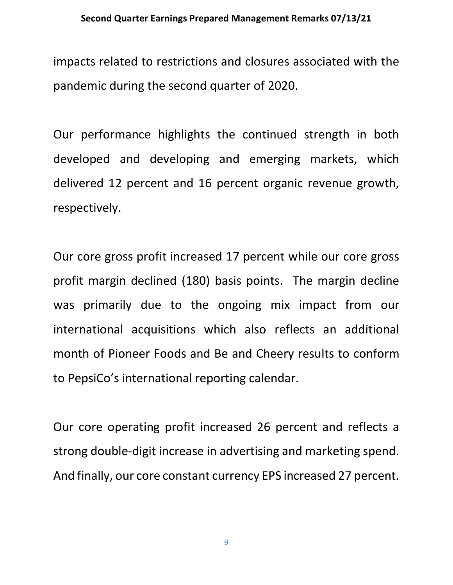impacts related to restrictions and closures associated with the pandemic during the second quarter of 2020.

Our performance highlights the continued strength in both developed and developing and emerging markets, which delivered 12 percent and 16 percent organic revenue growth, respectively.

Our core gross profit increased 17 percent while our core gross profit margin declined (180) basis points. The margin decline was primarily due to the ongoing mix impact from our international acquisitions which also reflects an additional month of Pioneer Foods and Be and Cheery results to conform to PepsiCo's international reporting calendar.

Our core operating profit increased 26 percent and reflects a strong double-digit increase in advertising and marketing spend. And finally, our core constant currency EPS increased 27 percent.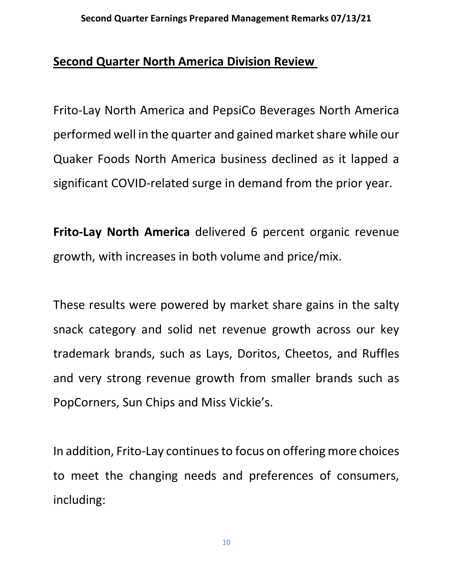## **Second Quarter North America Division Review**

Frito-Lay North America and PepsiCo Beverages North America performed well in the quarter and gained market share while our Quaker Foods North America business declined as it lapped a significant COVID-related surge in demand from the prior year.

**Frito-Lay North America** delivered 6 percent organic revenue growth, with increases in both volume and price/mix.

These results were powered by market share gains in the salty snack category and solid net revenue growth across our key trademark brands, such as Lays, Doritos, Cheetos, and Ruffles and very strong revenue growth from smaller brands such as PopCorners, Sun Chips and Miss Vickie's.

In addition, Frito-Lay continues to focus on offering more choices to meet the changing needs and preferences of consumers, including: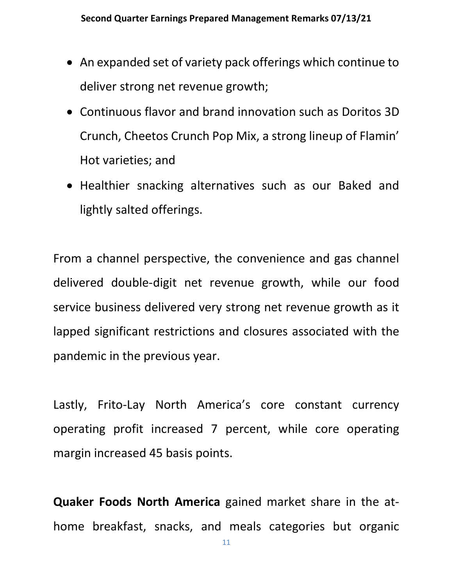- An expanded set of variety pack offerings which continue to deliver strong net revenue growth;
- Continuous flavor and brand innovation such as Doritos 3D Crunch, Cheetos Crunch Pop Mix, a strong lineup of Flamin' Hot varieties; and
- Healthier snacking alternatives such as our Baked and lightly salted offerings.

From a channel perspective, the convenience and gas channel delivered double-digit net revenue growth, while our food service business delivered very strong net revenue growth as it lapped significant restrictions and closures associated with the pandemic in the previous year.

Lastly, Frito-Lay North America's core constant currency operating profit increased 7 percent, while core operating margin increased 45 basis points.

**Quaker Foods North America** gained market share in the athome breakfast, snacks, and meals categories but organic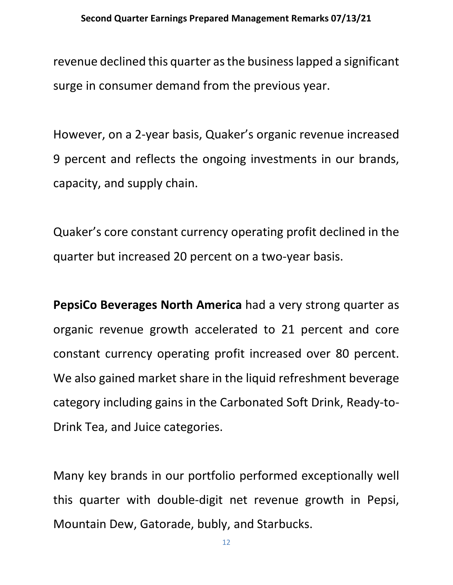revenue declined this quarter as the businesslapped a significant surge in consumer demand from the previous year.

However, on a 2-year basis, Quaker's organic revenue increased 9 percent and reflects the ongoing investments in our brands, capacity, and supply chain.

Quaker's core constant currency operating profit declined in the quarter but increased 20 percent on a two-year basis.

**PepsiCo Beverages North America** had a very strong quarter as organic revenue growth accelerated to 21 percent and core constant currency operating profit increased over 80 percent. We also gained market share in the liquid refreshment beverage category including gains in the Carbonated Soft Drink, Ready-to-Drink Tea, and Juice categories.

Many key brands in our portfolio performed exceptionally well this quarter with double-digit net revenue growth in Pepsi, Mountain Dew, Gatorade, bubly, and Starbucks.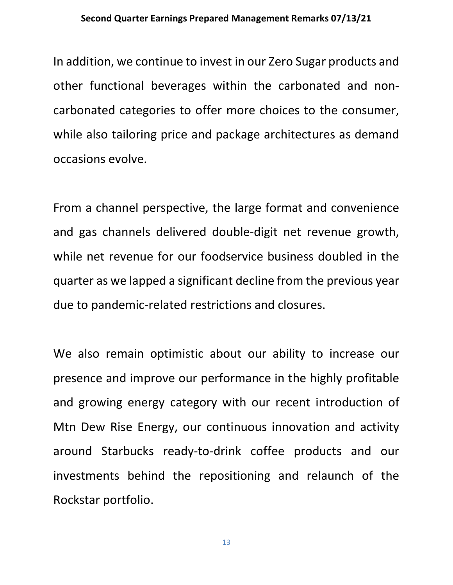#### **Second Quarter Earnings Prepared Management Remarks 07/13/21**

In addition, we continue to invest in our Zero Sugar products and other functional beverages within the carbonated and noncarbonated categories to offer more choices to the consumer, while also tailoring price and package architectures as demand occasions evolve.

From a channel perspective, the large format and convenience and gas channels delivered double-digit net revenue growth, while net revenue for our foodservice business doubled in the quarter as we lapped a significant decline from the previous year due to pandemic-related restrictions and closures.

We also remain optimistic about our ability to increase our presence and improve our performance in the highly profitable and growing energy category with our recent introduction of Mtn Dew Rise Energy, our continuous innovation and activity around Starbucks ready-to-drink coffee products and our investments behind the repositioning and relaunch of the Rockstar portfolio.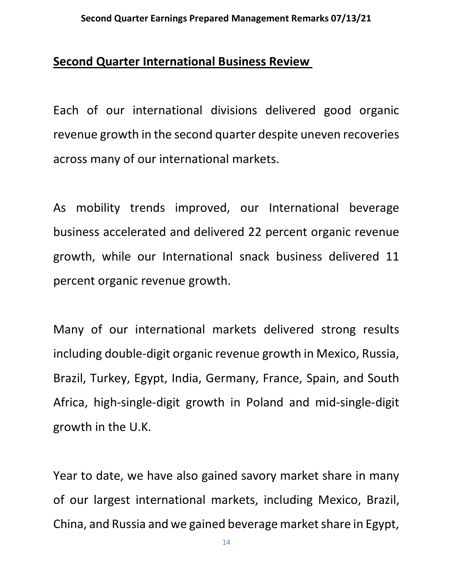#### **Second Quarter International Business Review**

Each of our international divisions delivered good organic revenue growth in the second quarter despite uneven recoveries across many of our international markets.

As mobility trends improved, our International beverage business accelerated and delivered 22 percent organic revenue growth, while our International snack business delivered 11 percent organic revenue growth.

Many of our international markets delivered strong results including double-digit organic revenue growth in Mexico, Russia, Brazil, Turkey, Egypt, India, Germany, France, Spain, and South Africa, high-single-digit growth in Poland and mid-single-digit growth in the U.K.

Year to date, we have also gained savory market share in many of our largest international markets, including Mexico, Brazil, China, and Russia and we gained beverage market share in Egypt,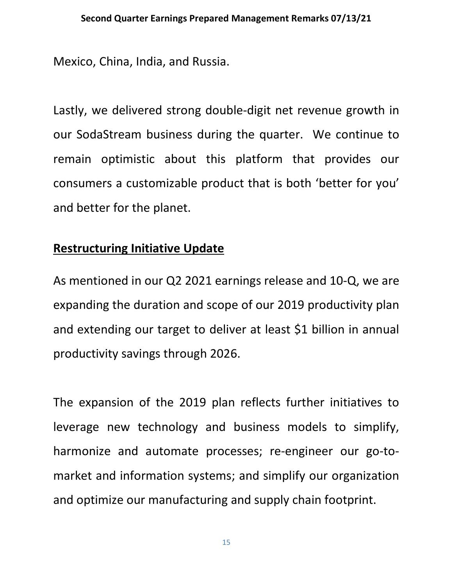Mexico, China, India, and Russia.

Lastly, we delivered strong double-digit net revenue growth in our SodaStream business during the quarter. We continue to remain optimistic about this platform that provides our consumers a customizable product that is both 'better for you' and better for the planet.

## **Restructuring Initiative Update**

As mentioned in our Q2 2021 earnings release and 10-Q, we are expanding the duration and scope of our 2019 productivity plan and extending our target to deliver at least \$1 billion in annual productivity savings through 2026.

The expansion of the 2019 plan reflects further initiatives to leverage new technology and business models to simplify, harmonize and automate processes; re-engineer our go-tomarket and information systems; and simplify our organization and optimize our manufacturing and supply chain footprint.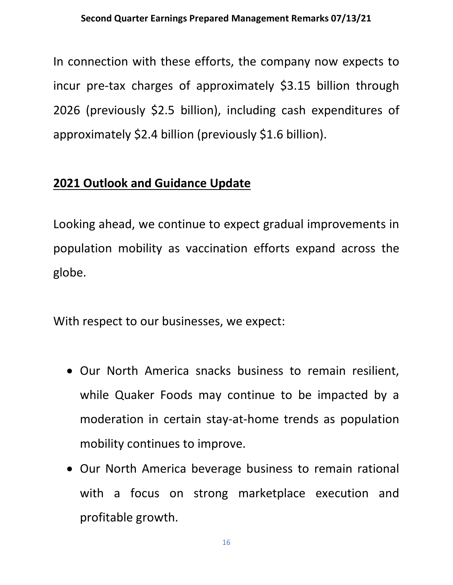In connection with these efforts, the company now expects to incur pre-tax charges of approximately \$3.15 billion through 2026 (previously \$2.5 billion), including cash expenditures of approximately \$2.4 billion (previously \$1.6 billion).

# **2021 Outlook and Guidance Update**

Looking ahead, we continue to expect gradual improvements in population mobility as vaccination efforts expand across the globe.

With respect to our businesses, we expect:

- Our North America snacks business to remain resilient, while Quaker Foods may continue to be impacted by a moderation in certain stay-at-home trends as population mobility continues to improve.
- Our North America beverage business to remain rational with a focus on strong marketplace execution and profitable growth.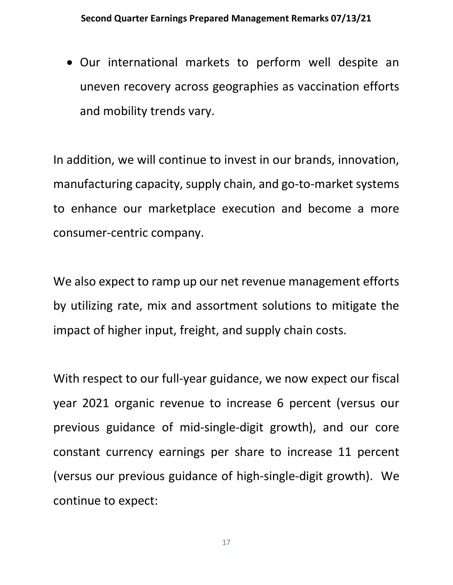• Our international markets to perform well despite an uneven recovery across geographies as vaccination efforts and mobility trends vary.

In addition, we will continue to invest in our brands, innovation, manufacturing capacity, supply chain, and go-to-market systems to enhance our marketplace execution and become a more consumer-centric company.

We also expect to ramp up our net revenue management efforts by utilizing rate, mix and assortment solutions to mitigate the impact of higher input, freight, and supply chain costs.

With respect to our full-year guidance, we now expect our fiscal year 2021 organic revenue to increase 6 percent (versus our previous guidance of mid-single-digit growth), and our core constant currency earnings per share to increase 11 percent (versus our previous guidance of high-single-digit growth). We continue to expect: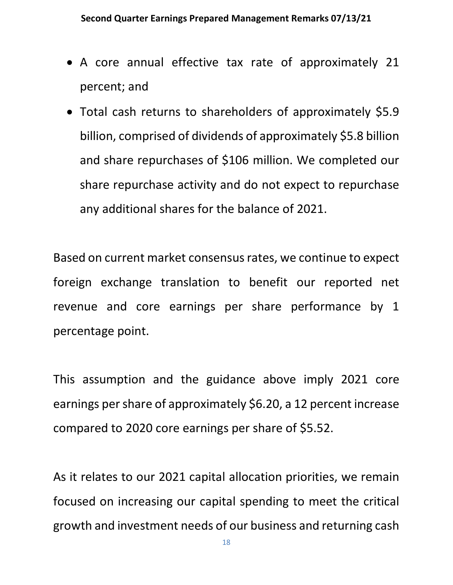- A core annual effective tax rate of approximately 21 percent; and
- Total cash returns to shareholders of approximately \$5.9 billion, comprised of dividends of approximately \$5.8 billion and share repurchases of \$106 million. We completed our share repurchase activity and do not expect to repurchase any additional shares for the balance of 2021.

Based on current market consensus rates, we continue to expect foreign exchange translation to benefit our reported net revenue and core earnings per share performance by 1 percentage point.

This assumption and the guidance above imply 2021 core earnings per share of approximately \$6.20, a 12 percent increase compared to 2020 core earnings per share of \$5.52.

As it relates to our 2021 capital allocation priorities, we remain focused on increasing our capital spending to meet the critical growth and investment needs of our business and returning cash